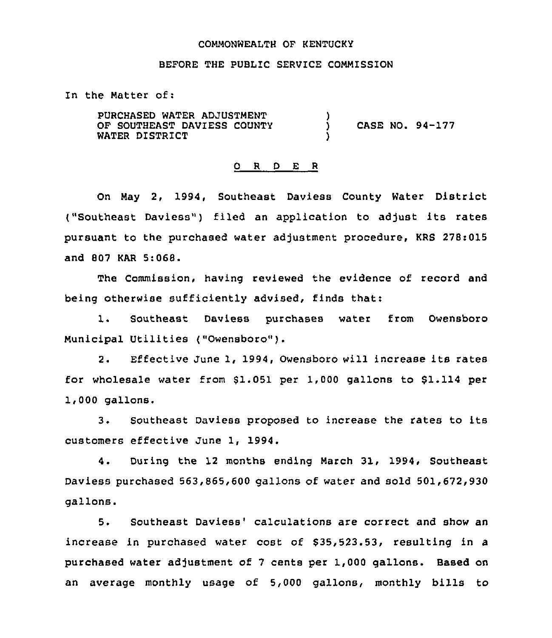#### COMMONWEALTH OF KENTUCKY

#### BEFORE THE PUBLIC SERVICE COMMISSION

In the Matter of:

PURCHASED WATER ADJUSTMENT OF SOUTHEAST DAVIESS COUNTY WATER DISTRICT )<br>) ) CASE NO. 94-177 )

#### 0 <sup>R</sup> <sup>D</sup> E <sup>R</sup>

On May 2, 1994, Southeast Daviess County Water District ("Southeast Daviess") filed an application to adjust its rates pursuant to the purchased water adjustment procedure, KRS 278:015 and 807 KAR 5:068.

The Commission, having reviewed the evidence of record and being otherwise sufficiently advised, finds that:

1. Southeast Daviess purchases water from Owensboro Municipal Utilities ("Owensboro").

2. Effective June 1, 1994, Owensboro will increase its rates for wholesale water from 81.051 per 1,000 gallons to 81.114 per 1,000 gallons.

3. Southeast Daviess proposed to increase the rates to its customers effective June 1, 1994.

4. During the 12 months ending March 31, 1994, Southeast Daviess purchased 563,865,600 gallons of water and sold 501,672,930 gallons.

5. Southeast Daviess' calculations are correct and show an increase in purchased water cost of \$35,523.53, resulting in a purchased water adjustment of 7 cents per 1,000 gallons. Based on an average monthly usage of 5,000 gallons, monthly bills to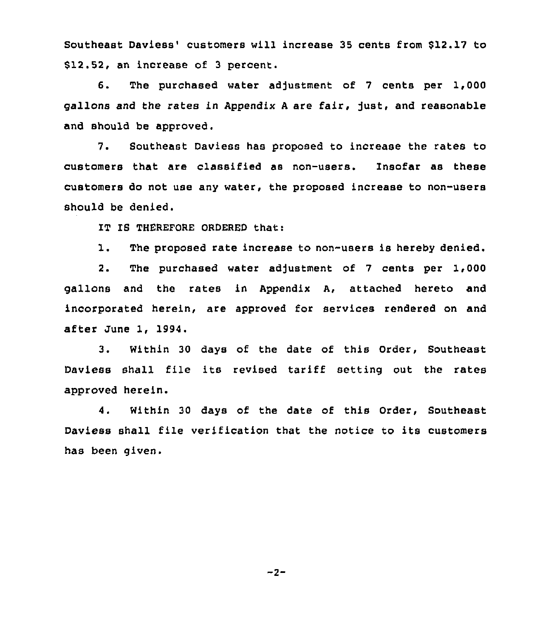Southeast Daviess' customers will increase 35 cents from \$12.17 to \$12.52, an increase of 3 percent.

6. The purchased water adjustment of 7 cents per 1,000 gallons and the rates in Appendix A are fair, just, and reasonable and should be approved.

7. Southeast Daviess has proposed to increase the rates to customers that are classified as non-users. Insofar as these customers do not use any water, the proposed increase to non-users should be denied.

IT IS THEREFORE ORDERED that:

1. The proposed rate increase to non-users is hereby denied.

2. The purchased water adjustment of 7 cents per 1,000 gallons and the rates in Appendix A, attached hereto and incorporated herein, are approved for services rendered on and after June 1, 1994.

3. Within 30 days of the date of this Order, Southeast Daviess shall file its revised tariff setting out the rates approved herein.

4. Within 30 days of the date of this Order, Southeast Daviess shall file verification that the notice to its customers has been given.

 $-2-$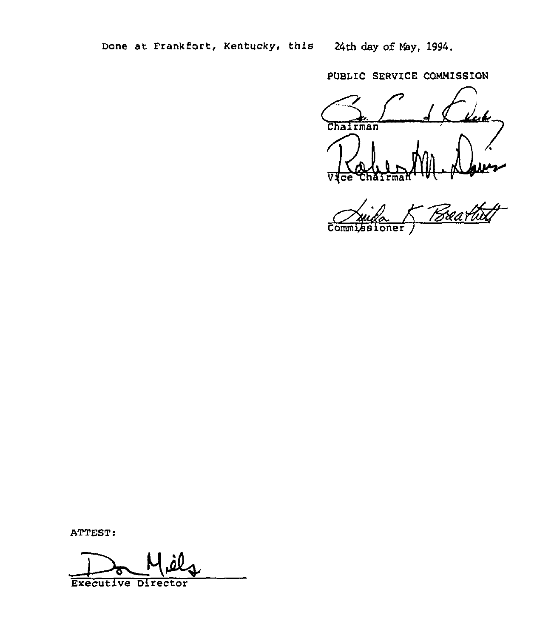24th day of May, 1994.

PUBLIC SERVICE COMMISSION

uk Chairman

11-provence  $\overline{\mathrm{Com}}$ oner

ATTEST:

Executive Director